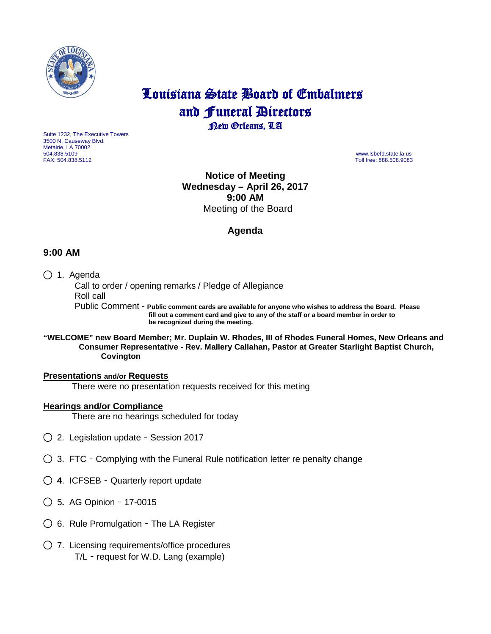

# Louisiana State Board of Embalmers and **Funeral Directors**<br>**Rew Orleans**, LA

Suite 1232, The Executive Towers 3500 N. Causeway Blvd. Metairie, LA 70002 504.838.5109 www.lsbefd.state.la.us

Toll free: 888.508.9083

**Notice of Meeting Wednesday – April 26, 2017 9:00 AM**  Meeting of the Board

## **Agenda**

## **9:00 AM**

## ◯ 1. Agenda

 Call to order / opening remarks / Pledge of Allegiance Roll call Public Comment - **Public comment cards are available for anyone who wishes to address the Board. Please**

 **fill out a comment card and give to any of the staff or a board member in order to be recognized during the meeting.**

#### **"WELCOME" new Board Member; Mr. Duplain W. Rhodes, III of Rhodes Funeral Homes, New Orleans and Consumer Representative - Rev. Mallery Callahan, Pastor at Greater Starlight Baptist Church, Covington**

#### **Presentations and/or Requests**

There were no presentation requests received for this meting

## **Hearings and/or Compliance**

There are no hearings scheduled for today

- ◯2. Legislation update Session 2017
- ◯3. FTC Complying with the Funeral Rule notification letter re penalty change
- ◯ **4**. ICFSEB Quarterly report update
- ◯ 5**.** AG Opinion 17-0015
- ◯6.Rule Promulgation The LA Register
- ◯7. Licensing requirements/office procedures T/L – request for W.D. Lang (example)